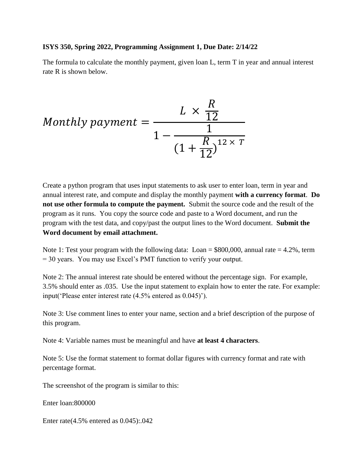## **ISYS 350, Spring 2022, Programming Assignment 1, Due Date: 2/14/22**

The formula to calculate the monthly payment, given loan L, term T in year and annual interest rate R is shown below.

$$
Monthly payment = \frac{L \times \frac{R}{12}}{1 - \frac{1}{\left(1 + \frac{R}{12}\right)^{12 \times T}}}
$$

Create a python program that uses input statements to ask user to enter loan, term in year and annual interest rate, and compute and display the monthly payment **with a currency format**. **Do not use other formula to compute the payment.** Submit the source code and the result of the program as it runs. You copy the source code and paste to a Word document, and run the program with the test data, and copy/past the output lines to the Word document. **Submit the Word document by email attachment.**

Note 1: Test your program with the following data:  $Loan = $800,000$ , annual rate  $= 4.2\%$ , term = 30 years. You may use Excel's PMT function to verify your output.

Note 2: The annual interest rate should be entered without the percentage sign. For example, 3.5% should enter as .035. Use the input statement to explain how to enter the rate. For example: input('Please enter interest rate (4.5% entered as 0.045)').

Note 3: Use comment lines to enter your name, section and a brief description of the purpose of this program.

Note 4: Variable names must be meaningful and have **at least 4 characters**.

Note 5: Use the format statement to format dollar figures with currency format and rate with percentage format.

The screenshot of the program is similar to this:

Enter loan:800000

Enter rate(4.5% entered as 0.045):.042